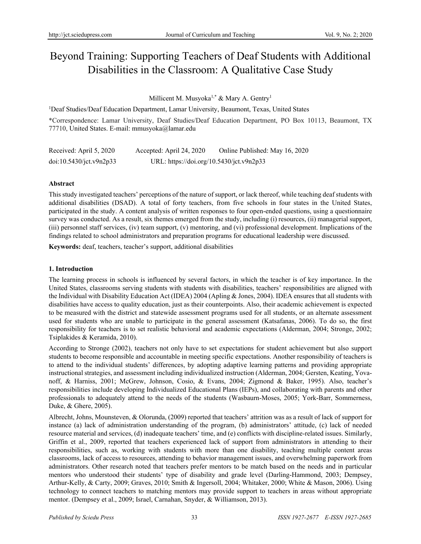# Beyond Training: Supporting Teachers of Deaf Students with Additional Disabilities in the Classroom: A Qualitative Case Study

Millicent M. Musyoka<sup>1,\*</sup> & Mary A. Gentry<sup>1</sup>

<sup>1</sup>Deaf Studies/Deaf Education Department, Lamar University, Beaumont, Texas, United States

\*Correspondence: Lamar University, Deaf Studies/Deaf Education Department, PO Box 10113, Beaumont, TX 77710, United States. E-mail: mmusyoka@lamar.edu

| Received: April 5, 2020 | Accepted: April 24, 2020                 | Online Published: May 16, 2020 |
|-------------------------|------------------------------------------|--------------------------------|
| doi:10.5430/jct.v9n2p33 | URL: https://doi.org/10.5430/jct.v9n2p33 |                                |

# **Abstract**

This study investigated teachers' perceptions of the nature of support, or lack thereof, while teaching deaf students with additional disabilities (DSAD). A total of forty teachers, from five schools in four states in the United States, participated in the study. A content analysis of written responses to four open-ended questions, using a questionnaire survey was conducted. As a result, six themes emerged from the study, including (i) resources, (ii) managerial support, (iii) personnel staff services, (iv) team support, (v) mentoring, and (vi) professional development. Implications of the findings related to school administrators and preparation programs for educational leadership were discussed.

**Keywords:** deaf, teachers, teacher's support, additional disabilities

# **1. Introduction**

The learning process in schools is influenced by several factors, in which the teacher is of key importance. In the United States, classrooms serving students with students with disabilities, teachers' responsibilities are aligned with the Individual with Disability Education Act (IDEA) 2004 (Apling & Jones, 2004). IDEA ensures that all students with disabilities have access to quality education, just as their counterpoints. Also, their academic achievement is expected to be measured with the district and statewide assessment programs used for all students, or an alternate assessment used for students who are unable to participate in the general assessment (Katsafanas, 2006). To do so, the first responsibility for teachers is to set realistic behavioral and academic expectations (Alderman, 2004; Stronge, 2002; Tsiplakides & Keramida, 2010).

According to Stronge (2002), teachers not only have to set expectations for student achievement but also support students to become responsible and accountable in meeting specific expectations. Another responsibility of teachers is to attend to the individual students' differences, by adopting adaptive learning patterns and providing appropriate instructional strategies, and assessment including individualized instruction (Alderman, 2004; Gersten, Keating, Yovanoff, & Harniss, 2001; McGrew, Johnson, Cosio, & Evans, 2004; Zigmond & Baker, 1995). Also, teacher's responsibilities include developing Individualized Educational Plans (IEPs), and collaborating with parents and other professionals to adequately attend to the needs of the students (Wasbaurn-Moses, 2005; York-Barr, Sommerness, Duke, & Ghere, 2005).

Albrecht, Johns, Mounsteven, & Olorunda, (2009) reported that teachers' attrition was as a result of lack of support for instance (a) lack of administration understanding of the program, (b) administrators' attitude, (c) lack of needed resource material and services, (d) inadequate teachers' time, and (e) conflicts with discipline-related issues. Similarly, Griffin et al., 2009, reported that teachers experienced lack of support from administrators in attending to their responsibilities, such as, working with students with more than one disability, teaching multiple content areas classrooms, lack of access to resources, attending to behavior management issues, and overwhelming paperwork from administrators. Other research noted that teachers prefer mentors to be match based on the needs and in particular mentors who understood their students' type of disability and grade level (Darling-Hammond, 2003; Dempsey, Arthur-Kelly, & Carty, 2009; Graves, 2010; Smith & Ingersoll, 2004; Whitaker, 2000; White & Mason, 2006). Using technology to connect teachers to matching mentors may provide support to teachers in areas without appropriate mentor. (Dempsey et al., 2009; Israel, Carnahan, Snyder, & Williamson, 2013).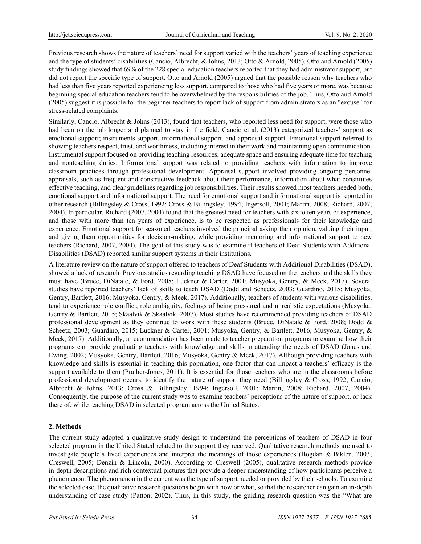Previous research shows the nature of teachers' need for support varied with the teachers' years of teaching experience and the type of students' disabilities (Cancio, Albrecht, & Johns, 2013; Otto & Arnold, 2005). Otto and Arnold (2005) study findings showed that 69% of the 228 special education teachers reported that they had administrator support, but did not report the specific type of support. Otto and Arnold (2005) argued that the possible reason why teachers who had less than five years reported experiencing less support, compared to those who had five years or more, was because beginning special education teachers tend to be overwhelmed by the responsibilities of the job. Thus, Otto and Arnold (2005) suggest it is possible for the beginner teachers to report lack of support from administrators as an "excuse" for stress-related complaints.

Similarly, Cancio, Albrecht & Johns (2013), found that teachers, who reported less need for support, were those who had been on the job longer and planned to stay in the field. Cancio et al. (2013) categorized teachers' support as emotional support; instruments support, informational support, and appraisal support. Emotional support referred to showing teachers respect, trust, and worthiness, including interest in their work and maintaining open communication. Instrumental support focused on providing teaching resources, adequate space and ensuring adequate time for teaching and nonteaching duties. Informational support was related to providing teachers with information to improve classroom practices through professional development. Appraisal support involved providing ongoing personnel appraisals, such as frequent and constructive feedback about their performance, information about what constitutes effective teaching, and clear guidelines regarding job responsibilities. Their results showed most teachers needed both, emotional support and informational support. The need for emotional support and informational support is reported in other research (Billingsley & Cross, 1992; Cross & Billingsley, 1994; Ingersoll, 2001; Martin, 2008; Richard, 2007, 2004). In particular, Richard (2007, 2004) found that the greatest need for teachers with six to ten years of experience, and those with more than ten years of experience, is to be respected as professionals for their knowledge and experience. Emotional support for seasoned teachers involved the principal asking their opinion, valuing their input, and giving them opportunities for decision-making, while providing mentoring and informational support to new teachers (Richard, 2007, 2004). The goal of this study was to examine if teachers of Deaf Students with Additional Disabilities (DSAD) reported similar support systems in their institutions.

A literature review on the nature of support offered to teachers of Deaf Students with Additional Disabilities (DSAD), showed a lack of research. Previous studies regarding teaching DSAD have focused on the teachers and the skills they must have (Bruce, DiNatale, & Ford, 2008; Luckner & Carter, 2001; Musyoka, Gentry, & Meek, 2017). Several studies have reported teachers' lack of skills to teach DSAD (Dodd and Scheetz, 2003; Guardino, 2015; Musyoka, Gentry, Bartlett, 2016; Musyoka, Gentry, & Meek, 2017). Additionally, teachers of students with various disabilities, tend to experience role conflict, role ambiguity, feelings of being pressured and unrealistic expectations (Musyoka, Gentry & Bartlett, 2015; Skaalvik & Skaalvik, 2007). Most studies have recommended providing teachers of DSAD professional development as they continue to work with these students (Bruce, DiNatale & Ford, 2008; Dodd & Scheetz, 2003; Guardino, 2015; Luckner & Carter, 2001; Musyoka, Gentry, & Bartlett, 2016; Musyoka, Gentry, & Meek, 2017). Additionally, a recommendation has been made to teacher preparation programs to examine how their programs can provide graduating teachers with knowledge and skills in attending the needs of DSAD (Jones and Ewing, 2002; Musyoka, Gentry, Bartlett, 2016; Musyoka, Gentry & Meek, 2017). Although providing teachers with knowledge and skills is essential in teaching this population, one factor that can impact a teachers' efficacy is the support available to them (Prather-Jones, 2011). It is essential for those teachers who are in the classrooms before professional development occurs, to identify the nature of support they need (Billingsley & Cross, 1992; Cancio, Albrecht & Johns, 2013; Cross & Billingsley, 1994; Ingersoll, 2001; Martin, 2008; Richard, 2007, 2004). Consequently, the purpose of the current study was to examine teachers' perceptions of the nature of support, or lack there of, while teaching DSAD in selected program across the United States.

# **2. Methods**

The current study adopted a qualitative study design to understand the perceptions of teachers of DSAD in four selected program in the United Stated related to the support they received. Qualitative research methods are used to investigate people's lived experiences and interpret the meanings of those experiences (Bogdan & Biklen, 2003; Creswell, 2005; Denzin & Lincoln, 2000). According to Creswell (2005), qualitative research methods provide in-depth descriptions and rich contextual pictures that provide a deeper understanding of how participants perceive a phenomenon. The phenomenon in the current was the type of support needed or provided by their schools. To examine the selected case, the qualitative research questions begin with how or what, so that the researcher can gain an in-depth understanding of case study (Patton, 2002). Thus, in this study, the guiding research question was the "What are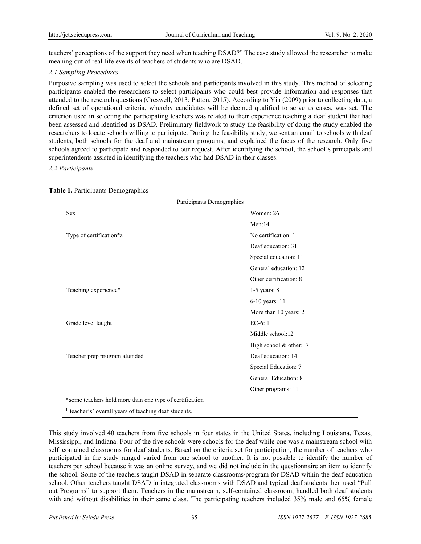teachers' perceptions of the support they need when teaching DSAD?" The case study allowed the researcher to make meaning out of real-life events of teachers of students who are DSAD.

#### *2.1 Sampling Procedures*

Purposive sampling was used to select the schools and participants involved in this study. This method of selecting participants enabled the researchers to select participants who could best provide information and responses that attended to the research questions (Creswell, 2013; Patton, 2015). According to Yin (2009) prior to collecting data, a defined set of operational criteria, whereby candidates will be deemed qualified to serve as cases, was set. The criterion used in selecting the participating teachers was related to their experience teaching a deaf student that had been assessed and identified as DSAD. Preliminary fieldwork to study the feasibility of doing the study enabled the researchers to locate schools willing to participate. During the feasibility study, we sent an email to schools with deaf students, both schools for the deaf and mainstream programs, and explained the focus of the research. Only five schools agreed to participate and responded to our request. After identifying the school, the school's principals and superintendents assisted in identifying the teachers who had DSAD in their classes.

#### *2.2 Participants*

| Participants Demographics                                                                                                                                                                                                      |                        |
|--------------------------------------------------------------------------------------------------------------------------------------------------------------------------------------------------------------------------------|------------------------|
| <b>Sex</b>                                                                                                                                                                                                                     | Women: 26              |
|                                                                                                                                                                                                                                | Men:14                 |
| Type of certification*a                                                                                                                                                                                                        | No certification: 1    |
|                                                                                                                                                                                                                                | Deaf education: 31     |
|                                                                                                                                                                                                                                | Special education: 11  |
|                                                                                                                                                                                                                                | General education: 12  |
|                                                                                                                                                                                                                                | Other certification: 8 |
| Teaching experience*                                                                                                                                                                                                           | $1-5$ years: $8$       |
|                                                                                                                                                                                                                                | 6-10 years: 11         |
|                                                                                                                                                                                                                                | More than 10 years: 21 |
| Grade level taught                                                                                                                                                                                                             | $EC-6:11$              |
|                                                                                                                                                                                                                                | Middle school:12       |
|                                                                                                                                                                                                                                | High school & other:17 |
| Teacher prep program attended                                                                                                                                                                                                  | Deaf education: 14     |
|                                                                                                                                                                                                                                | Special Education: 7   |
|                                                                                                                                                                                                                                | General Education: 8   |
|                                                                                                                                                                                                                                | Other programs: 11     |
| <sup>a</sup> some teachers hold more than one type of certification                                                                                                                                                            |                        |
| range and a sample of the second service of the service of the service of the service of the service of the service of the service of the service of the service of the service of the service of the service of the service o |                        |

#### **Table 1.** Participants Demographics

<sup>b</sup> teacher's' overall years of teaching deaf students.

This study involved 40 teachers from five schools in four states in the United States, including Louisiana, Texas, Mississippi, and Indiana. Four of the five schools were schools for the deaf while one was a mainstream school with self–contained classrooms for deaf students. Based on the criteria set for participation, the number of teachers who participated in the study ranged varied from one school to another. It is not possible to identify the number of teachers per school because it was an online survey, and we did not include in the questionnaire an item to identify the school. Some of the teachers taught DSAD in separate classrooms/program for DSAD within the deaf education school. Other teachers taught DSAD in integrated classrooms with DSAD and typical deaf students then used "Pull out Programs" to support them. Teachers in the mainstream, self-contained classroom, handled both deaf students with and without disabilities in their same class. The participating teachers included 35% male and 65% female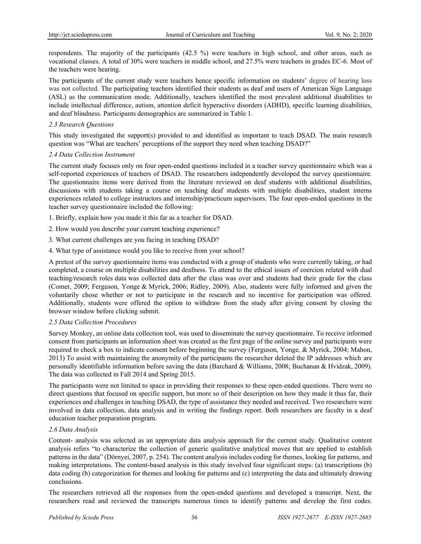respondents. The majority of the participants (42.5 %) were teachers in high school, and other areas, such as vocational classes. A total of 30% were teachers in middle school, and 27.5% were teachers in grades EC-6. Most of the teachers were hearing.

The participants of the current study were teachers hence specific information on students' degree of hearing loss was not collected. The participating teachers identified their students as deaf and users of American Sign Language (ASL) as the communication mode. Additionally, teachers identified the most prevalent additional disabilities to include intellectual difference, autism, attention deficit hyperactive disorders (ADHD), specific learning disabilities, and deaf blindness. Participants demographics are summarized in Table 1.

#### *2.3 Research Questions*

This study investigated the support(s) provided to and identified as important to teach DSAD. The main research question was "What are teachers' perceptions of the support they need when teaching DSAD?"

#### *2.4 Data Collection Instrument*

The current study focuses only on four open-ended questions included in a teacher survey questionnaire which was a self-reported experiences of teachers of DSAD. The researchers independently developed the survey questionnaire. The questionnaire items were derived from the literature reviewed on deaf students with additional disabilities, discussions with students taking a course on teaching deaf students with multiple disabilities, student interns experiences related to college instructors and internship/practicum supervisors. The four open-ended questions in the teacher survey questionnaire included the following:

1. Briefly, explain how you made it this far as a teacher for DSAD.

- 2. How would you describe your current teaching experience?
- 3. What current challenges are you facing in teaching DSAD?
- 4. What type of assistance would you like to receive from your school?

A pretest of the survey questionnaire items was conducted with a group of students who were currently taking, or had completed, a course on multiple disabilities and deafness. To attend to the ethical issues of coercion related with dual teaching/research roles data was collected data after the class was over and students had their grade for the class (Comer, 2009; Ferguson, Yonge & Myrick, 2006; Ridley, 2009). Also, students were fully informed and given the voluntarily chose whether or not to participate in the research and no incentive for participation was offered. Additionally, students were offered the option to withdraw from the study after giving consent by closing the browser window before clicking submit.

# *2.5 Data Collection Procedures*

Survey Monkey, an online data collection tool, was used to disseminate the survey questionnaire. To receive informed consent from participants an information sheet was created as the first page of the online survey and participants were required to check a box to indicate consent before beginning the survey (Ferguson, Yonge, & Myrick, 2004; Mahon, 2013) To assist with maintaining the anonymity of the participants the researcher deleted the IP addresses which are personally identifiable information before saving the data (Barchard & Williams, 2008; Buchanan & Hvidzak, 2009). The data was collected in Fall 2014 and Spring 2015.

The participants were not limited to space in providing their responses to these open-ended questions. There were no direct questions that focused on specific support, but more so of their description on how they made it thus far, their experiences and challenges in teaching DSAD, the type of assistance they needed and received. Two researchers were involved in data collection, data analysis and in writing the findings report. Both researchers are faculty in a deaf education teacher preparation program.

# *2.6 Data Analysis*

Content- analysis was selected as an appropriate data analysis approach for the current study. Qualitative content analysis refers "to characterize the collection of generic qualitative analytical moves that are applied to establish patterns in the data" (Dörnyei, 2007, p. 254). The content analysis includes coding for themes, looking for patterns, and making interpretations. The content-based analysis in this study involved four significant steps: (a) transcriptions (b) data coding (b) categorization for themes and looking for patterns and (c) interpreting the data and ultimately drawing conclusions.

The researchers retrieved all the responses from the open-ended questions and developed a transcript. Next, the researchers read and reviewed the transcripts numerous times to identify patterns and develop the first codes.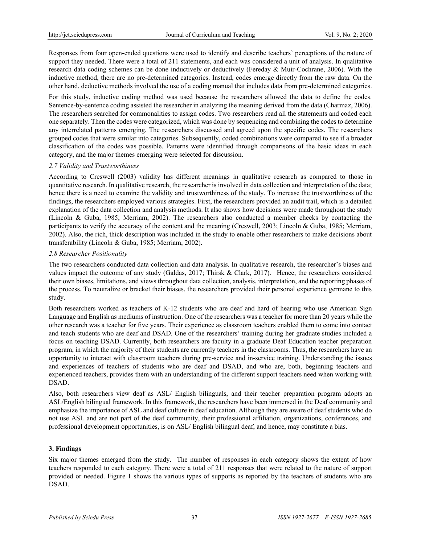Responses from four open-ended questions were used to identify and describe teachers' perceptions of the nature of support they needed. There were a total of 211 statements, and each was considered a unit of analysis. In qualitative research data coding schemes can be done inductively or deductively (Fereday & Muir-Cochrane, 2006). With the inductive method, there are no pre-determined categories. Instead, codes emerge directly from the raw data. On the other hand, deductive methods involved the use of a coding manual that includes data from pre-determined categories.

For this study, inductive coding method was used because the researchers allowed the data to define the codes. Sentence-by-sentence coding assisted the researcher in analyzing the meaning derived from the data (Charmaz, 2006). The researchers searched for commonalities to assign codes. Two researchers read all the statements and coded each one separately. Then the codes were categorized, which was done by sequencing and combining the codes to determine any interrelated patterns emerging. The researchers discussed and agreed upon the specific codes. The researchers grouped codes that were similar into categories. Subsequently, coded combinations were compared to see if a broader classification of the codes was possible. Patterns were identified through comparisons of the basic ideas in each category, and the major themes emerging were selected for discussion.

#### *2.7 Validity and Trustworthiness*

According to Creswell (2003) validity has different meanings in qualitative research as compared to those in quantitative research. In qualitative research, the researcher is involved in data collection and interpretation of the data; hence there is a need to examine the validity and trustworthiness of the study. To increase the trustworthiness of the findings, the researchers employed various strategies. First, the researchers provided an audit trail, which is a detailed explanation of the data collection and analysis methods. It also shows how decisions were made throughout the study (Lincoln & Guba, 1985; Merriam, 2002). The researchers also conducted a member checks by contacting the participants to verify the accuracy of the content and the meaning (Creswell, 2003; Lincoln & Guba, 1985; Merriam, 2002). Also, the rich, thick description was included in the study to enable other researchers to make decisions about transferability (Lincoln & Guba, 1985; Merriam, 2002).

#### *2.8 Researcher Positionality*

The two researchers conducted data collection and data analysis. In qualitative research, the researcher's biases and values impact the outcome of any study (Galdas, 2017; Thirsk & Clark, 2017). Hence, the researchers considered their own biases, limitations, and views throughout data collection, analysis, interpretation, and the reporting phases of the process. To neutralize or bracket their biases, the researchers provided their personal experience germane to this study.

Both researchers worked as teachers of K-12 students who are deaf and hard of hearing who use American Sign Language and English as mediums of instruction. One of the researchers was a teacher for more than 20 years while the other research was a teacher for five years. Their experience as classroom teachers enabled them to come into contact and teach students who are deaf and DSAD. One of the researchers' training during her graduate studies included a focus on teaching DSAD. Currently, both researchers are faculty in a graduate Deaf Education teacher preparation program, in which the majority of their students are currently teachers in the classrooms. Thus, the researchers have an opportunity to interact with classroom teachers during pre-service and in-service training. Understanding the issues and experiences of teachers of students who are deaf and DSAD, and who are, both, beginning teachers and experienced teachers, provides them with an understanding of the different support teachers need when working with DSAD.

Also, both researchers view deaf as ASL/ English bilinguals, and their teacher preparation program adopts an ASL/English bilingual framework. In this framework, the researchers have been immersed in the Deaf community and emphasize the importance of ASL and deaf culture in deaf education. Although they are aware of deaf students who do not use ASL and are not part of the deaf community, their professional affiliation, organizations, conferences, and professional development opportunities, is on ASL/ English bilingual deaf, and hence, may constitute a bias.

# **3. Findings**

Six major themes emerged from the study. The number of responses in each category shows the extent of how teachers responded to each category. There were a total of 211 responses that were related to the nature of support provided or needed. Figure 1 shows the various types of supports as reported by the teachers of students who are DSAD.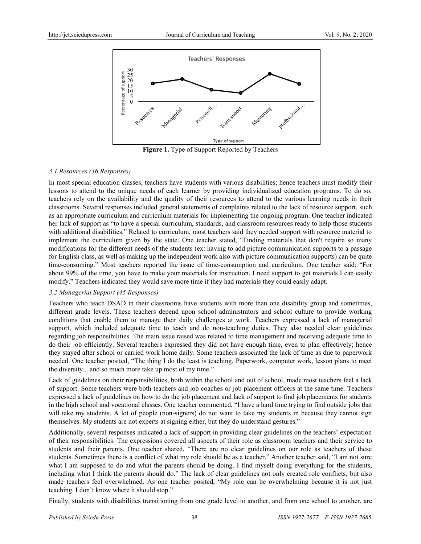

**Figure 1.** Type of Support Reported by Teachers

# *3.1 Resources (36 Responses)*

In most special education classes, teachers have students with various disabilities; hence teachers must modify their lessons to attend to the unique needs of each learner by providing individualized education programs. To do so, teachers rely on the availability and the quality of their resources to attend to the various learning needs in their classrooms. Several responses included general statements of complaints related to the lack of resource support, such as an appropriate curriculum and curriculum materials for implementing the ongoing program. One teacher indicated her lack of support as "to have a special curriculum, standards, and classroom resources ready to help those students with additional disabilities." Related to curriculum, most teachers said they needed support with resource material to implement the curriculum given by the state. One teacher stated, "Finding materials that don't require so many modifications for the different needs of the students (ex: having to add picture communication supports to a passage for English class, as well as making up the independent work also with picture communication supports) can be quite time-consuming." Most teachers reported the issue of time-consumption and curriculum. One teacher said; "For about 99% of the time, you have to make your materials for instruction. I need support to get materials I can easily modify." Teachers indicated they would save more time if they had materials they could easily adapt.

# *3.2 Managerial Support (45 Responses)*

Teachers who teach DSAD in their classrooms have students with more than one disability group and sometimes, different grade levels. These teachers depend upon school administrators and school culture to provide working conditions that enable them to manage their daily challenges at work. Teachers expressed a lack of managerial support, which included adequate time to teach and do non-teaching duties. They also needed clear guidelines regarding job responsibilities. The main issue raised was related to time management and receiving adequate time to do their job efficiently. Several teachers expressed they did not have enough time, even to plan effectively; hence they stayed after school or carried work home daily. Some teachers associated the lack of time as due to paperwork needed. One teacher posited, "The thing I do the least is teaching. Paperwork, computer work, lesson plans to meet the diversity... and so much more take up most of my time."

Lack of guidelines on their responsibilities, both within the school and out of school, made most teachers feel a lack of support. Some teachers were both teachers and job coaches or job placement officers at the same time. Teachers expressed a lack of guidelines on how to do the job placement and lack of support to find job placements for students in the high school and vocational classes. One teacher commented, "I have a hard time trying to find outside jobs that will take my students. A lot of people (non-signers) do not want to take my students in because they cannot sign themselves. My students are not experts at signing either, but they do understand gestures."

Additionally, several responses indicated a lack of support in providing clear guidelines on the teachers' expectation of their responsibilities. The expressions covered all aspects of their role as classroom teachers and their service to students and their parents. One teacher shared, "There are no clear guidelines on our role as teachers of these students. Sometimes there is a conflict of what my role should be as a teacher." Another teacher said, "I am not sure what I am supposed to do and what the parents should be doing. I find myself doing everything for the students, including what I think the parents should do." The lack of clear guidelines not only created role conflicts, but also made teachers feel overwhelmed. As one teacher posited, "My role can be overwhelming because it is not just teaching. I don't know where it should stop."

Finally, students with disabilities transitioning from one grade level to another, and from one school to another, are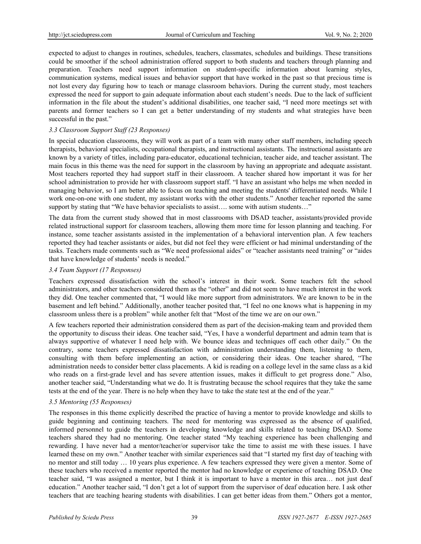expected to adjust to changes in routines, schedules, teachers, classmates, schedules and buildings. These transitions could be smoother if the school administration offered support to both students and teachers through planning and preparation. Teachers need support information on student-specific information about learning styles, communication systems, medical issues and behavior support that have worked in the past so that precious time is not lost every day figuring how to teach or manage classroom behaviors. During the current study, most teachers expressed the need for support to gain adequate information about each student's needs. Due to the lack of sufficient information in the file about the student's additional disabilities, one teacher said, "I need more meetings set with parents and former teachers so I can get a better understanding of my students and what strategies have been successful in the past."

# *3.3 Classroom Support Staff (23 Responses)*

In special education classrooms, they will work as part of a team with many other staff members, including speech therapists, behavioral specialists, occupational therapists, and instructional assistants. The instructional assistants are known by a variety of titles, including para-educator, educational technician, teacher aide, and teacher assistant. The main focus in this theme was the need for support in the classroom by having an appropriate and adequate assistant. Most teachers reported they had support staff in their classroom. A teacher shared how important it was for her school administration to provide her with classroom support staff. "I have an assistant who helps me when needed in managing behavior, so I am better able to focus on teaching and meeting the students' differentiated needs. While I work one-on-one with one student, my assistant works with the other students." Another teacher reported the same support by stating that "We have behavior specialists to assist.... some with autism students..."

The data from the current study showed that in most classrooms with DSAD teacher, assistants/provided provide related instructional support for classroom teachers, allowing them more time for lesson planning and teaching. For instance, some teacher assistants assisted in the implementation of a behavioral intervention plan. A few teachers reported they had teacher assistants or aides, but did not feel they were efficient or had minimal understanding of the tasks. Teachers made comments such as "We need professional aides" or "teacher assistants need training" or "aides that have knowledge of students' needs is needed."

# *3.4 Team Support (17 Responses)*

Teachers expressed dissatisfaction with the school's interest in their work. Some teachers felt the school administrators, and other teachers considered them as the "other" and did not seem to have much interest in the work they did. One teacher commented that, "I would like more support from administrators. We are known to be in the basement and left behind." Additionally, another teacher posited that, "I feel no one knows what is happening in my classroom unless there is a problem" while another felt that "Most of the time we are on our own."

A few teachers reported their administration considered them as part of the decision-making team and provided them the opportunity to discuss their ideas. One teacher said, "Yes, I have a wonderful department and admin team that is always supportive of whatever I need help with. We bounce ideas and techniques off each other daily." On the contrary, some teachers expressed dissatisfaction with administration understanding them, listening to them, consulting with them before implementing an action, or considering their ideas. One teacher shared, "The administration needs to consider better class placements. A kid is reading on a college level in the same class as a kid who reads on a first-grade level and has severe attention issues, makes it difficult to get progress done." Also, another teacher said, "Understanding what we do. It is frustrating because the school requires that they take the same tests at the end of the year. There is no help when they have to take the state test at the end of the year."

# *3.5 Mentoring (55 Responses)*

The responses in this theme explicitly described the practice of having a mentor to provide knowledge and skills to guide beginning and continuing teachers. The need for mentoring was expressed as the absence of qualified, informed personnel to guide the teachers in developing knowledge and skills related to teaching DSAD. Some teachers shared they had no mentoring. One teacher stated "My teaching experience has been challenging and rewarding. I have never had a mentor/teacher/or supervisor take the time to assist me with these issues. I have learned these on my own." Another teacher with similar experiences said that "I started my first day of teaching with no mentor and still today … 10 years plus experience. A few teachers expressed they were given a mentor. Some of these teachers who received a mentor reported the mentor had no knowledge or experience of teaching DSAD. One teacher said, "I was assigned a mentor, but I think it is important to have a mentor in this area… not just deaf education." Another teacher said, "I don't get a lot of support from the supervisor of deaf education here. I ask other teachers that are teaching hearing students with disabilities. I can get better ideas from them." Others got a mentor,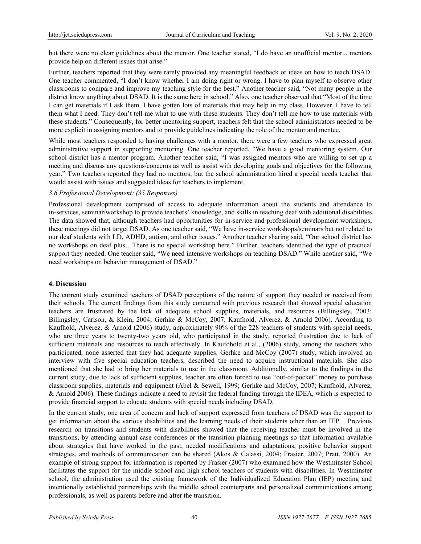but there were no clear guidelines about the mentor. One teacher stated, "I do have an unofficial mentor... mentors provide help on different issues that arise."

Further, teachers reported that they were rarely provided any meaningful feedback or ideas on how to teach DSAD. One teacher commented, "I don't know whether I am doing right or wrong. I have to plan myself to observe other classrooms to compare and improve my teaching style for the best." Another teacher said, "Not many people in the district know anything about DSAD. It is the same here in school." Also, one teacher observed that "Most of the time I can get materials if I ask them. I have gotten lots of materials that may help in my class. However, I have to tell them what I need. They don't tell me what to use with these students. They don't tell me how to use materials with these students." Consequently, for better mentoring support, teachers felt that the school administrators needed to be more explicit in assigning mentors and to provide guidelines indicating the role of the mentor and mentee.

While most teachers responded to having challenges with a mentor, there were a few teachers who expressed great administrative support in supporting mentoring. One teacher reported, "We have a good mentoring system. Our school district has a mentor program. Another teacher said, "I was assigned mentors who are willing to set up a meeting and discuss any questions/concerns as well as assist with developing goals and objectives for the following year." Two teachers reported they had no mentors, but the school administration hired a special needs teacher that would assist with issues and suggested ideas for teachers to implement.

# *3.6 Professional Development: (35 Responses)*

Professional development comprised of access to adequate information about the students and attendance to in-services, seminar/workshop to provide teachers' knowledge, and skills in teaching deaf with additional disabilities. The data showed that, although teachers had opportunities for in-service and professional development workshops, these meetings did not target DSAD. As one teacher said, "We have in-service workshops/seminars but not related to our deaf students with LD, ADHD, autism, and other issues." Another teacher sharing said, "Our school district has no workshops on deaf plus…There is no special workshop here." Further, teachers identified the type of practical support they needed. One teacher said, "We need intensive workshops on teaching DSAD." While another said, "We need workshops on behavior management of DSAD."

#### **4. Discussion**

The current study examined teachers of DSAD perceptions of the nature of support they needed or received from their schools. The current findings from this study concurred with previous research that showed special education teachers are frustrated by the lack of adequate school supplies, materials, and resources (Billingsley, 2003; Billingsley, Carlson, & Klein, 2004; Gerhke & McCoy, 2007; Kaufhold, Alverez, & Arnold 2006). According to Kaufhold, Alverez, & Arnold (2006) study, approximately 90% of the 228 teachers of students with special needs, who are three years to twenty-two years old, who participated in the study, reported frustration due to lack of sufficient materials and resources to teach effectively. In Kaufohold et al., (2006) study, among the teachers who participated, none asserted that they had adequate supplies. Gerhke and McCoy (2007) study, which involved an interview with five special education teachers, described the need to acquire instructional materials. She also mentioned that she had to bring her materials to use in the classroom. Additionally, similar to the findings in the current study, due to lack of sufficient supplies, teacher are often forced to use "out-of-pocket" money to purchase classroom supplies, materials and equipment (Abel & Sewell, 1999; Gerhke and McCoy, 2007; Kaufhold, Alverez, & Arnold 2006). These findings indicate a need to revisit the federal funding through the IDEA, which is expected to provide financial support to educate students with special needs including DSAD.

In the current study, one area of concern and lack of support expressed from teachers of DSAD was the support to get information about the various disabilities and the learning needs of their students other than an IEP. Previous research on transitions and students with disabilities showed that the receiving teacher must be involved in the transitions, by attending annual case conferences or the transition planning meetings so that information available about strategies that have worked in the past, needed modifications and adaptations, positive behavior support strategies, and methods of communication can be shared (Akos & Galassi, 2004; Frasier, 2007; Pratt, 2000). An example of strong support for information is reported by Frasier (2007) who examined how the Westminster School facilitates the support for the middle school and high school teachers of students with disabilities. In Westminster school, the administration used the existing framework of the Individualized Education Plan (IEP) meeting and intentionally established partnerships with the middle school counterparts and personalized communications among professionals, as well as parents before and after the transition.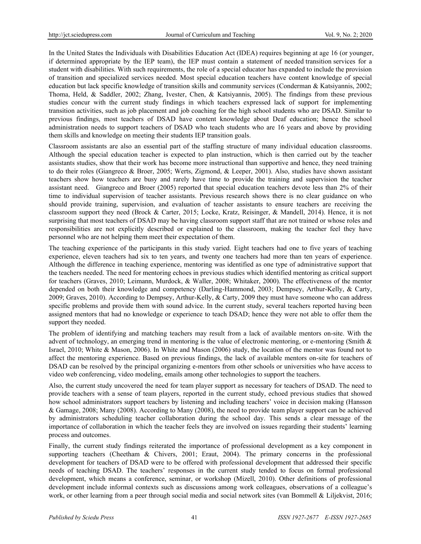In the United States the Individuals with Disabilities Education Act (IDEA) requires beginning at age 16 (or younger, if determined appropriate by the IEP team), the IEP must contain a statement of needed transition services for a student with disabilities. With such requirements, the role of a special educator has expanded to include the provision of transition and specialized services needed. Most special education teachers have content knowledge of special education but lack specific knowledge of transition skills and community services (Conderman & Katsiyannis, 2002; Thoma, Held, & Saddler, 2002; Zhang, Ivester, Chen, & Katsiyannis, 2005). The findings from these previous studies concur with the current study findings in which teachers expressed lack of support for implementing transition activities, such as job placement and job coaching for the high school students who are DSAD. Similar to previous findings, most teachers of DSAD have content knowledge about Deaf education; hence the school administration needs to support teachers of DSAD who teach students who are 16 years and above by providing them skills and knowledge on meeting their students IEP transition goals.

Classroom assistants are also an essential part of the staffing structure of many individual education classrooms. Although the special education teacher is expected to plan instruction, which is then carried out by the teacher assistants studies, show that their work has become more instructional than supportive and hence, they need training to do their roles (Giangreco & Broer, 2005; Werts, Zigmond, & Leeper, 2001). Also, studies have shown assistant teachers show how teachers are busy and rarely have time to provide the training and supervision the teacher assistant need. Giangreco and Broer (2005) reported that special education teachers devote less than 2% of their time to individual supervision of teacher assistants. Previous research shows there is no clear guidance on who should provide training, supervision, and evaluation of teacher assistants to ensure teachers are receiving the classroom support they need (Brock & Carter, 2015; Locke, Kratz, Reisinger, & Mandell, 2014). Hence, it is not surprising that most teachers of DSAD may be having classroom support staff that are not trained or whose roles and responsibilities are not explicitly described or explained to the classroom, making the teacher feel they have personnel who are not helping them meet their expectation of them.

The teaching experience of the participants in this study varied. Eight teachers had one to five years of teaching experience, eleven teachers had six to ten years, and twenty one teachers had more than ten years of experience. Although the difference in teaching experience, mentoring was identified as one type of administrative support that the teachers needed. The need for mentoring echoes in previous studies which identified mentoring as critical support for teachers (Graves, 2010; Leimann, Murdock, & Waller, 2008; Whitaker, 2000). The effectiveness of the mentor depended on both their knowledge and competency (Darling-Hammond, 2003; Dempsey, Arthur-Kelly, & Carty, 2009; Graves, 2010). According to Dempsey, Arthur-Kelly, & Carty, 2009 they must have someone who can address specific problems and provide them with sound advice. In the current study, several teachers reported having been assigned mentors that had no knowledge or experience to teach DSAD; hence they were not able to offer them the support they needed.

The problem of identifying and matching teachers may result from a lack of available mentors on-site. With the advent of technology, an emerging trend in mentoring is the value of electronic mentoring, or e-mentoring (Smith & Israel, 2010; White & Mason, 2006). In White and Mason (2006) study, the location of the mentor was found not to affect the mentoring experience. Based on previous findings, the lack of available mentors on-site for teachers of DSAD can be resolved by the principal organizing e-mentors from other schools or universities who have access to video web conferencing, video modeling, emails among other technologies to support the teachers.

Also, the current study uncovered the need for team player support as necessary for teachers of DSAD. The need to provide teachers with a sense of team players, reported in the current study, echoed previous studies that showed how school administrators support teachers by listening and including teachers' voice in decision making (Hansson & Gamage, 2008; Many (2008). According to Many (2008), the need to provide team player support can be achieved by administrators scheduling teacher collaboration during the school day. This sends a clear message of the importance of collaboration in which the teacher feels they are involved on issues regarding their students' learning process and outcomes.

Finally, the current study findings reiterated the importance of professional development as a key component in supporting teachers (Cheetham & Chivers, 2001; Eraut, 2004). The primary concerns in the professional development for teachers of DSAD were to be offered with professional development that addressed their specific needs of teaching DSAD. The teachers' responses in the current study tended to focus on formal professional development, which means a conference, seminar, or workshop (Mizell, 2010). Other definitions of professional development include informal contexts such as discussions among work colleagues, observations of a colleague's work, or other learning from a peer through social media and social network sites (van Bommell & Liljekvist, 2016;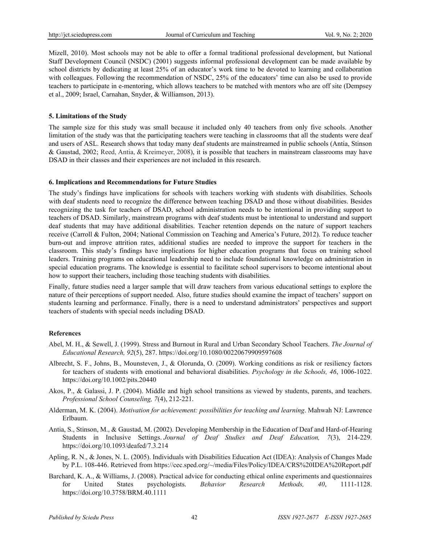Mizell, 2010). Most schools may not be able to offer a formal traditional professional development, but National Staff Development Council (NSDC) (2001) suggests informal professional development can be made available by school districts by dedicating at least 25% of an educator's work time to be devoted to learning and collaboration with colleagues. Following the recommendation of NSDC, 25% of the educators' time can also be used to provide teachers to participate in e-mentoring, which allows teachers to be matched with mentors who are off site (Dempsey et al., 2009; Israel, Carnahan, Snyder, & Williamson, 2013).

#### **5. Limitations of the Study**

The sample size for this study was small because it included only 40 teachers from only five schools. Another limitation of the study was that the participating teachers were teaching in classrooms that all the students were deaf and users of ASL. Research shows that today many deaf students are mainstreamed in public schools (Antia, Stinson & Gaustad, 2002; Reed, Antia, & Kreimeyer, 2008), it is possible that teachers in mainstream classrooms may have DSAD in their classes and their experiences are not included in this research.

#### **6. Implications and Recommendations for Future Studies**

The study's findings have implications for schools with teachers working with students with disabilities. Schools with deaf students need to recognize the difference between teaching DSAD and those without disabilities. Besides recognizing the task for teachers of DSAD, school administration needs to be intentional in providing support to teachers of DSAD. Similarly, mainstream programs with deaf students must be intentional to understand and support deaf students that may have additional disabilities. Teacher retention depends on the nature of support teachers receive (Carroll & Fulton, 2004; National Commission on Teaching and America's Future, 2012). To reduce teacher burn-out and improve attrition rates, additional studies are needed to improve the support for teachers in the classroom. This study's findings have implications for higher education programs that focus on training school leaders. Training programs on educational leadership need to include foundational knowledge on administration in special education programs. The knowledge is essential to facilitate school supervisors to become intentional about how to support their teachers, including those teaching students with disabilities.

Finally, future studies need a larger sample that will draw teachers from various educational settings to explore the nature of their perceptions of support needed. Also, future studies should examine the impact of teachers' support on students learning and performance. Finally, there is a need to understand administrators' perspectives and support teachers of students with special needs including DSAD.

# **References**

- Abel, M. H., & Sewell, J. (1999). Stress and Burnout in Rural and Urban Secondary School Teachers. *The Journal of Educational Research, 92*(5), 287. https://doi.org/10.1080/00220679909597608
- Albrecht, S. F., Johns, B., Mounsteven, J., & Olorunda, O. (2009). Working conditions as risk or resiliency factors for teachers of students with emotional and behavioral disabilities. *Psychology in the Schools, 46*, 1006-1022. https://doi.org/10.1002/pits.20440
- Akos, P., & Galassi, J. P. (2004). Middle and high school transitions as viewed by students, parents, and teachers. *Professional School Counseling, 7*(4), 212-221.
- Alderman, M. K. (2004). *Motivation for achievement: possibilities for teaching and learning*. Mahwah NJ: Lawrence Erlbaum.
- Antia, S., Stinson, M., & Gaustad, M. (2002). Developing Membership in the Education of Deaf and Hard-of-Hearing Students in Inclusive Settings. *Journal of Deaf Studies and Deaf Education, 7*(3), 214-229. https://doi.org/10.1093/deafed/7.3.214
- Apling, R. N., & Jones, N. L. (2005). Individuals with Disabilities Education Act (IDEA): Analysis of Changes Made by P.L. 108-446. Retrieved from https://cec.sped.org/~/media/Files/Policy/IDEA/CRS%20IDEA%20Report.pdf
- Barchard, K. A., & Williams, J. (2008). Practical advice for conducting ethical online experiments and questionnaires for United States psychologists. *Behavior Research Methods, 40*, 1111-1128. https://doi.org/10.3758/BRM.40.1111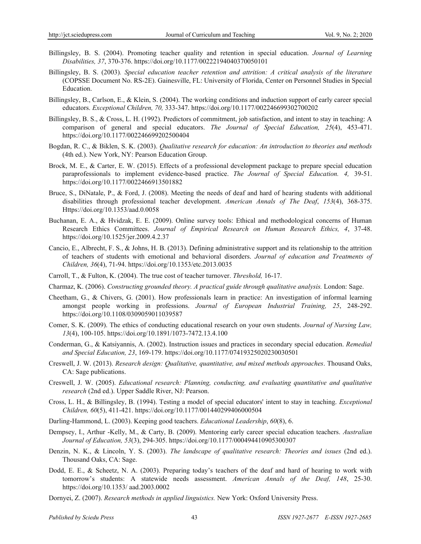- Billingsley, B. S. (2004). Promoting teacher quality and retention in special education. *Journal of Learning Disabilities, 37*, 370-376. https://doi.org/10.1177/00222194040370050101
- Billingsley, B. S. (2003)*. Special education teacher retention and attrition: A critical analysis of the literature*  (COPSSE Document No. RS-2E). Gainesville, FL: University of Florida, Center on Personnel Studies in Special Education.
- Billingsley, B., Carlson, E., & Klein, S. (2004). The working conditions and induction support of early career special educators. *Exceptional Children, 70,* 333-347. https://doi.org/10.1177/002246699302700202
- Billingsley, B. S., & Cross, L. H. (1992). Predictors of commitment, job satisfaction, and intent to stay in teaching: A comparison of general and special educators. *The Journal of Special Education, 25*(4), 453-471. https://doi.org/10.1177/002246699202500404
- Bogdan, R. C., & Biklen, S. K. (2003). *Qualitative research for education: An introduction to theories and methods*  (4th ed.). New York, NY: Pearson Education Group.
- Brock, M. E., & Carter, E. W. (2015). Effects of a professional development package to prepare special education paraprofessionals to implement evidence-based practice. *The Journal of Special Education. 4,* 39-51. https://doi.org/10.1177/0022466913501882
- Bruce, S., DiNatale, P., & Ford, J. (2008). Meeting the needs of deaf and hard of hearing students with additional disabilities through professional teacher development. *American Annals of The Deaf*, *153*(4), 368-375. Https://doi.org/10.1353/aad.0.0058
- Buchanan, E. A., & Hvidzak, E. E. (2009). Online survey tools: Ethical and methodological concerns of Human Research Ethics Committees. *Journal of Empirical Research on Human Research Ethics, 4*, 37-48. https://doi.org/10.1525/jer.2009.4.2.37
- Cancio, E., Albrecht, F. S., & Johns, H. B. (2013). Defining administrative support and its relationship to the attrition of teachers of students with emotional and behavioral disorders. *Journal of education and Treatments of Children, 36*(4), 71-94. https://doi.org/10.1353/etc.2013.0035
- Carroll, T., & Fulton, K. (2004). The true cost of teacher turnover. *Threshold,* 16-17.
- Charmaz, K. (2006). *Constructing grounded theory. A practical guide through qualitative analysis.* London: Sage.
- Cheetham, G., & Chivers, G. (2001). How professionals learn in practice: An investigation of informal learning amongst people working in professions. *Journal of European Industrial Training, 25*, 248-292. https://doi.org/10.1108/0309059011039587
- Comer, S. K. (2009). The ethics of conducting educational research on your own students. *Journal of Nursing Law, 13*(4), 100-105. https://doi.org/10.1891/1073-7472.13.4.100
- Conderman, G., & Katsiyannis, A. (2002). Instruction issues and practices in secondary special education. *Remedial and Special Education, 23*, 169-179. https://doi.org/10.1177/07419325020230030501
- Creswell, J. W. (2013). *Research design: Qualitative, quantitative, and mixed methods approaches*. Thousand Oaks, CA: Sage publications.
- Creswell, J. W. (2005). *Educational research: Planning, conducting, and evaluating quantitative and qualitative research* (2nd ed.). Upper Saddle River, NJ: Pearson.
- Cross, L. H., & Billingsley, B. (1994). Testing a model of special educators' intent to stay in teaching. *Exceptional Children, 60*(5), 411-421. https://doi.org/10.1177/001440299406000504
- Darling-Hammond, L. (2003). Keeping good teachers. *Educational Leadership*, *60*(8), 6.
- Dempsey, I., Arthur -Kelly, M., & Carty, B. (2009). Mentoring early career special education teachers. *Australian Journal of Education, 53*(3), 294-305. https://doi.org/10.1177/000494410905300307
- Denzin, N. K., & Lincoln, Y. S. (2003). *The landscape of qualitative research: Theories and issues* (2nd ed.). Thousand Oaks, CA: Sage.
- Dodd, E. E., & Scheetz, N. A. (2003). Preparing today's teachers of the deaf and hard of hearing to work with tomorrow's students: A statewide needs assessment. *American Annals of the Deaf, 148*, 25-30. https://doi.org/10.1353/ aad.2003.0002
- Dornyei, Z. (2007). *Research methods in applied linguistics.* New York: Oxford University Press.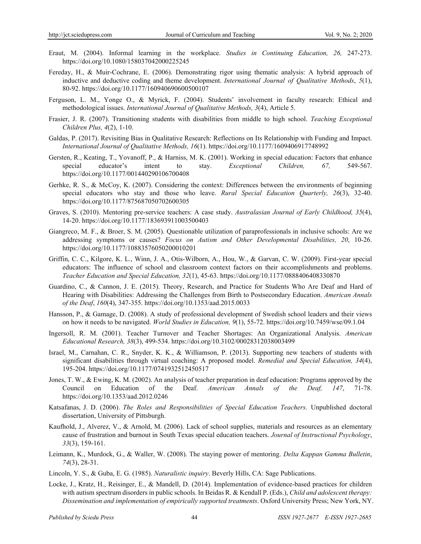- Eraut, M. (2004). Informal learning in the workplace. *Studies in Continuing Education, 26,* 247-273. https://doi.org/10.1080/158037042000225245
- Fereday, H., & Muir-Cochrane, E. (2006). Demonstrating rigor using thematic analysis: A hybrid approach of inductive and deductive coding and theme development. *International Journal of Qualitative Methods*, *5*(1), 80-92. https://doi.org/10.1177/160940690600500107
- Ferguson, L. M., Yonge O., & Myrick, F. (2004). Students' involvement in faculty research: Ethical and methodological issues. *International Journal of Qualitative Methods, 3*(4), Article 5.
- Frasier, J. R. (2007). Transitioning students with disabilities from middle to high school. *Teaching Exceptional Children Plus, 4*(2), 1-10.
- Galdas, P. (2017). Revisiting Bias in Qualitative Research: Reflections on Its Relationship with Funding and Impact. *International Journal of Qualitative Methods, 16*(1). https://doi.org/10.1177/1609406917748992
- Gersten, R., Keating, T., Yovanoff, P., & Harniss, M. K. (2001). Working in special education: Factors that enhance special educator's intent to stay. *Exceptional Children, 67,* 549-567. https://doi.org/10.1177/001440290106700408
- Gerhke, R. S., & McCoy, K. (2007). Considering the context: Differences between the environments of beginning special educators who stay and those who leave. *Rural Special Education Quarterly, 26*(3), 32-40. https://doi.org/10.1177/875687050702600305
- Graves, S. (2010). Mentoring pre-service teachers: A case study. *Australasian Journal of Early Childhood, 35*(4), 14-20. https://doi.org/10.1177/183693911003500403
- Giangreco, M. F., & Broer, S. M. (2005). Questionable utilization of paraprofessionals in inclusive schools: Are we addressing symptoms or causes? *Focus on Autism and Other Developmental Disabilities, 20*, 10-26. https://doi.org/10.1177/10883576050200010201
- Griffin, C. C., Kilgore, K. L., Winn, J. A., Otis-Wilborn, A., Hou, W., & Garvan, C. W. (2009). First-year special educators: The influence of school and classroom context factors on their accomplishments and problems. *Teacher Education and Special Education, 32*(1), 45-63. https://doi.org/10.1177/0888406408330870
- Guardino, C., & Cannon, J. E. (2015). Theory, Research, and Practice for Students Who Are Deaf and Hard of Hearing with Disabilities: Addressing the Challenges from Birth to Postsecondary Education. *American Annals of the Deaf*, *160*(4), 347-355. https://doi.org/10.1353/aad.2015.0033
- Hansson, P., & Gamage, D. (2008). A study of professional development of Swedish school leaders and their views on how it needs to be navigated. *World Studies in Education, 9*(1), 55-72. https://doi.org/10.7459/wse/09.1.04
- Ingersoll, R. M. (2001). Teacher Turnover and Teacher Shortages: An Organizational Analysis. *American Educational Research, 38*(3), 499-534. https://doi.org/10.3102/00028312038003499
- Israel, M., Carnahan, C. R., Snyder, K. K., & Williamson, P. (2013). Supporting new teachers of students with significant disabilities through virtual coaching: A proposed model. *Remedial and Special Education, 34*(4), 195-204. https://doi.org/10.1177/0741932512450517
- Jones, T. W., & Ewing, K. M. (2002). An analysis of teacher preparation in deaf education: Programs approved by the Council on Education of the Deaf. *American Annals of the Deaf, 147*, 71-78. https://doi.org/10.1353/aad.2012.0246
- Katsafanas, J. D. (2006). *The Roles and Responsibilities of Special Education Teachers*. Unpublished doctoral dissertation, University of Pittsburgh.
- Kaufhold, J., Alverez, V., & Arnold, M. (2006). Lack of school supplies, materials and resources as an elementary cause of frustration and burnout in South Texas special education teachers. *Journal of Instructional Psychology*, *33*(3), 159-161.
- Leimann, K., Murdock, G., & Waller, W. (2008). The staying power of mentoring. *Delta Kappan Gamma Bulletin*, *74*(3), 28-31.
- Lincoln, Y. S., & Guba, E. G. (1985). *Naturalistic inquiry*. Beverly Hills, CA: Sage Publications.
- Locke, J., Kratz, H., Reisinger, E., & Mandell, D. (2014). Implementation of evidence-based practices for children with autism spectrum disorders in public schools. In Beidas R. & Kendall P. (Eds.), *Child and adolescent therapy*: *Dissemination and implementation of empirically supported treatments*. Oxford University Press; New York, NY.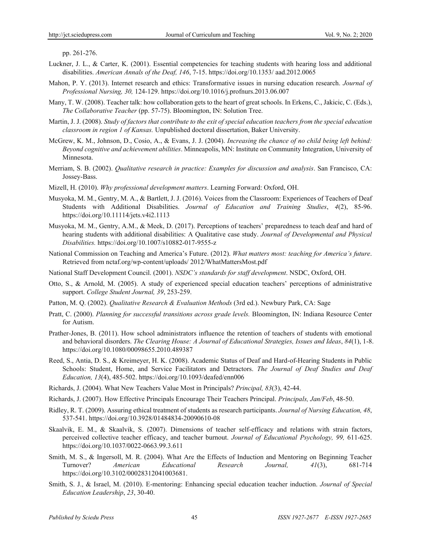pp. 261-276.

- Luckner, J. L., & Carter, K. (2001). Essential competencies for teaching students with hearing loss and additional disabilities. *American Annals of the Deaf, 146*, 7-15. https://doi.org/10.1353/ aad.2012.0065
- Mahon, P. Y. (2013). Internet research and ethics: Transformative issues in nursing education research. *Journal of Professional Nursing, 30,* 124-129. https://doi.org/10.1016/j.profnurs.2013.06.007
- Many, T. W. (2008). Teacher talk: how collaboration gets to the heart of great schools. In Erkens, C., Jakicic, C. (Eds.), *The Collaborative Teacher* (pp. 57-75). Bloomington, IN: Solution Tree.
- Martin, J. J. (2008). *Study of factors that contribute to the exit of special education teachers from the special education classroom in region 1 of Kansas.* Unpublished doctoral dissertation, Baker University.
- McGrew, K. M., Johnson, D., Cosio, A., & Evans, J. J. (2004). *Increasing the chance of no child being left behind: Beyond cognitive and achievement abilities*. Minneapolis, MN: Institute on Community Integration, University of Minnesota.
- Merriam, S. B. (2002). *Qualitative research in practice: Examples for discussion and analysis*. San Francisco, CA: Jossey-Bass.
- Mizell, H. (2010). *Why professional development matters*. Learning Forward: Oxford, OH.
- Musyoka, M. M., Gentry, M. A., & Bartlett, J. J. (2016). Voices from the Classroom: Experiences of Teachers of Deaf Students with Additional Disabilities. *Journal of Education and Training Studies*, *4*(2), 85-96. https://doi.org/10.11114/jets.v4i2.1113
- Musyoka, M. M., Gentry, A.M., & Meek, D. (2017). Perceptions of teachers' preparedness to teach deaf and hard of hearing students with additional disabilities: A Qualitative case study. *Journal of Developmental and Physical Disabilities.* https://doi.org/10.1007/s10882-017-9555-z
- National Commission on Teaching and America's Future. (2012). *What matters most: teaching for America's future*. Retrieved from nctaf.org/wp-content/uploads/ 2012/WhatMattersMost.pdf
- National Staff Development Council. (2001). *NSDC's standards for staff development*. NSDC, Oxford, OH.
- Otto, S., & Arnold, M. (2005). A study of experienced special education teachers' perceptions of administrative support. *College Student Journal, 39*, 253-259.
- Patton, M. Q. (2002). *Qualitative Research & Evaluation Methods* (3rd ed.). Newbury Park, CA: Sage
- Pratt, C. (2000). *Planning for successful transitions across grade levels.* Bloomington, IN: Indiana Resource Center for Autism.
- Prather-Jones, B. (2011). How school administrators influence the retention of teachers of students with emotional and behavioral disorders. *The Clearing House: A Journal of Educational Strategies, Issues and Ideas*, *84*(1), 1-8. https://doi.org/10.1080/00098655.2010.489387
- Reed, S., Antia, D. S., & Kreimeyer, H. K. (2008). Academic Status of Deaf and Hard-of-Hearing Students in Public Schools: Student, Home, and Service Facilitators and Detractors. *The Journal of Deaf Studies and Deaf Education, 13*(4), 485-502. https://doi.org/10.1093/deafed/enn006
- Richards, J. (2004). What New Teachers Value Most in Principals? *Principal, 83*(3), 42-44.
- Richards, J. (2007). How Effective Principals Encourage Their Teachers Principal. *Principals, Jan/Feb*, 48-50.
- Ridley, R. T. (2009). Assuring ethical treatment of students as research participants. *Journal of Nursing Education, 48*, 537-541. https://doi.org/10.3928/01484834-20090610-08
- Skaalvik, E. M., & Skaalvik, S. (2007). Dimensions of teacher self-efficacy and relations with strain factors, perceived collective teacher efficacy, and teacher burnout. *Journal of Educational Psychology, 99,* 611-625. https://doi.org/10.1037/0022-0663.99.3.611
- Smith, M. S., & Ingersoll, M. R. (2004). What Are the Effects of Induction and Mentoring on Beginning Teacher Turnover? *American Educational Research Journal, 41*(3), 681-714 https://doi.org/10.3102/00028312041003681.
- Smith, S. J., & Israel, M. (2010). E-mentoring: Enhancing special education teacher induction. *Journal of Special Education Leadership*, *23*, 30-40.